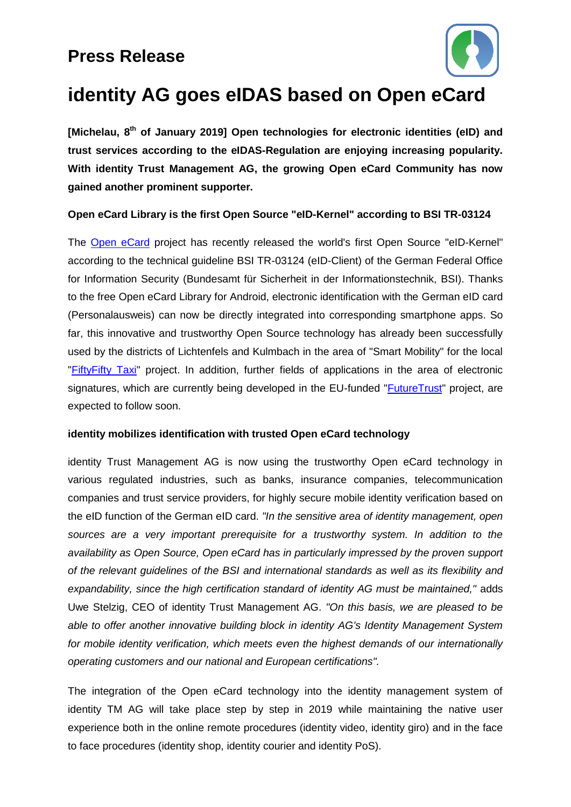## **Press Release**



# **identity AG goes eIDAS based on Open eCard**

**[Michelau, 8 th of January 2019] Open technologies for electronic identities (eID) and trust services according to the eIDAS-Regulation are enjoying increasing popularity. With identity Trust Management AG, the growing Open eCard Community has now gained another prominent supporter.**

### **Open eCard Library is the first Open Source "eID-Kernel" according to BSI TR-03124**

The [Open eCard](https://openecard.org/) project has recently released the world's first Open Source "eID-Kernel" according to the technical guideline BSI TR-03124 (eID-Client) of the German Federal Office for Information Security (Bundesamt für Sicherheit in der Informationstechnik, BSI). Thanks to the free Open eCard Library for Android, electronic identification with the German eID card (Personalausweis) can now be directly integrated into corresponding smartphone apps. So far, this innovative and trustworthy Open Source technology has already been successfully used by the districts of Lichtenfels and Kulmbach in the area of "Smart Mobility" for the local ["FiftyFifty Taxi"](https://www.fifty-fifty.taxi/) project. In addition, further fields of applications in the area of electronic signatures, which are currently being developed in the EU-funded ["FutureTrust"](http://futuretrust.eu/) project, are expected to follow soon.

### **identity mobilizes identification with trusted Open eCard technology**

identity Trust Management AG is now using the trustworthy Open eCard technology in various regulated industries, such as banks, insurance companies, telecommunication companies and trust service providers, for highly secure mobile identity verification based on the eID function of the German eID card. *"In the sensitive area of identity management, open sources are a very important prerequisite for a trustworthy system. In addition to the availability as Open Source, Open eCard has in particularly impressed by the proven support of the relevant guidelines of the BSI and international standards as well as its flexibility and expandability, since the high certification standard of identity AG must be maintained,"* adds Uwe Stelzig, CEO of identity Trust Management AG. *"On this basis, we are pleased to be able to offer another innovative building block in identity AG's Identity Management System for mobile identity verification, which meets even the highest demands of our internationally operating customers and our national and European certifications".*

The integration of the Open eCard technology into the identity management system of identity TM AG will take place step by step in 2019 while maintaining the native user experience both in the online remote procedures (identity video, identity giro) and in the face to face procedures (identity shop, identity courier and identity PoS).